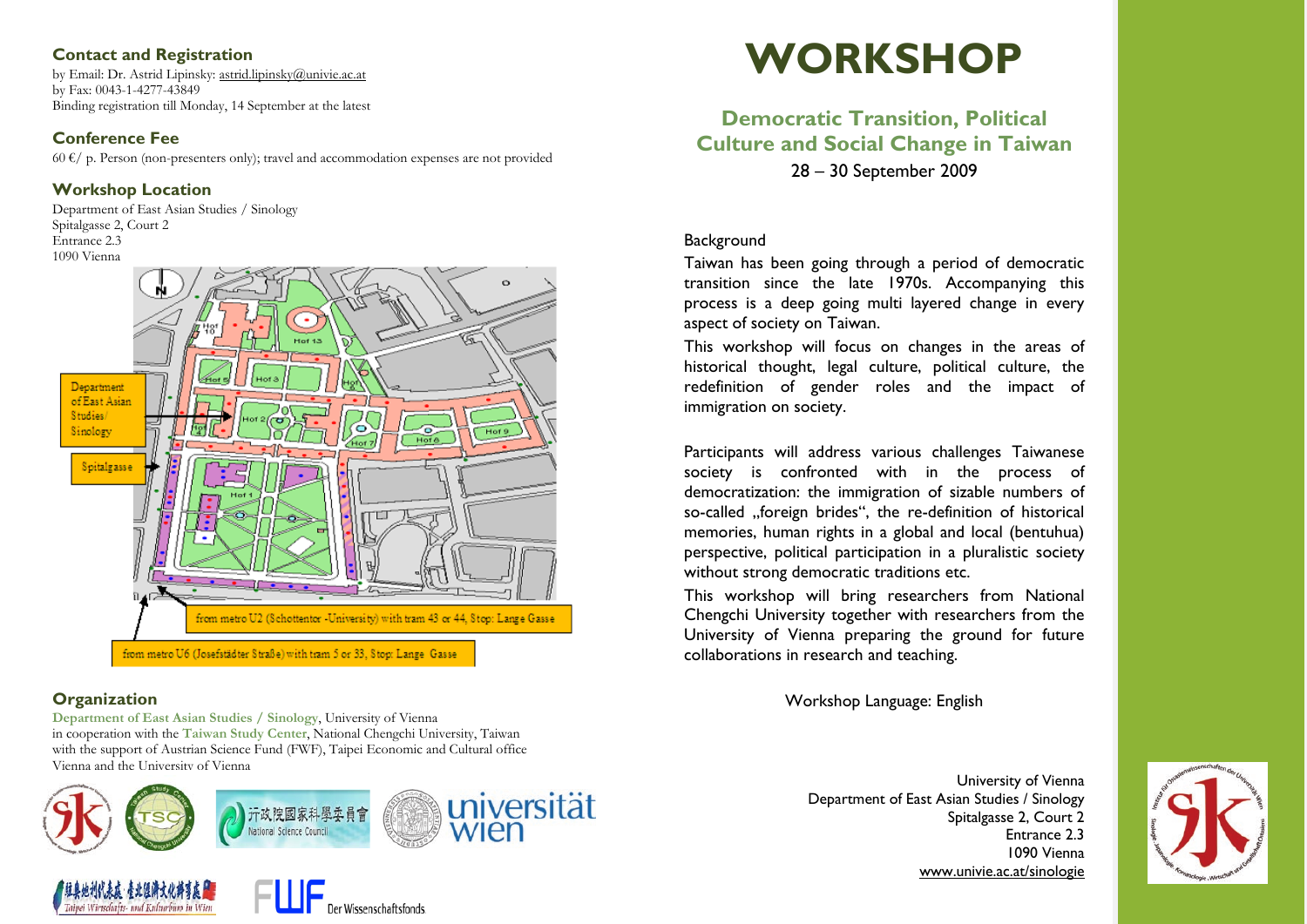### **Contact and Registration**

by Email: Dr. Astrid Lipinsky: [astrid.lipinsky@univie.ac.at](mailto:astrid.lipinsky@univie.ac.at) by Fax: 0043-1-4277-43849 Binding registration till Monday, 14 September at the latest

### **Conference Fee**

 $60 \text{ }\mathcal{E}/$  p. Person (non-presenters only); travel and accommodation expenses are not provided

## **Workshop Location**

Department of East Asian Studies / Sinology Spitalgasse 2, Court 2 Entrance 2.3 1090 Vienna



# **Organization**

**Department of East Asian Studies / Sinology**, University of Vienna in cooperation with the **Taiwan Study Center**, National Chengchi University, Taiwan with the support of Austrian Science Fund (FWF), Taipei Economic and Cultural office Vienna and the University of Vienna







# **Democratic Transition, Political Culture and Social Change in Taiwan** 28 – 30 September 2009

### **Background**

Taiwan has been going through a period of democratic transition since the late 1970s. Accompanying this process is a deep going multi layered change in every aspect of society on Taiwan.

This workshop will focus on changes in the areas of historical thought, legal culture, political culture, the redefinition of gender roles and the impact of immigration on society.

Participants will address various challenges Taiwanese society is confronted with in the process of democratization: the immigration of sizable numbers of so-called ..foreign brides", the re-definition of historical memories, human rights in a global and local (bentuhua) perspective, political participation in a pluralistic society without strong democratic traditions etc.

This workshop will bring researchers from National Chengchi University together with researchers from the University of Vienna preparing the ground for future collaborations in research and teaching.

Workshop Language: English

University of Vienna Department of East Asian Studies / Sinology Spitalgasse 2, Court 2 Entrance 2.3 1090 Vienna [www.univie.ac.at/sinologie](http://www.univie.ac.at/sinologie)